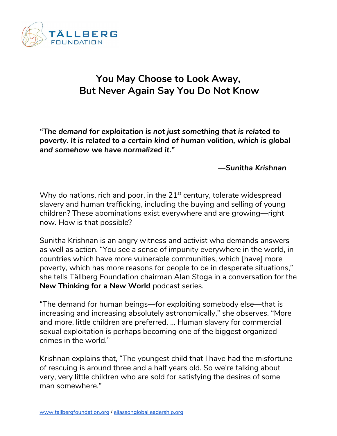

## **You May Choose to Look Away, But Never Again Say You Do Not Know**

*"The demand for exploitation is not just something that is related to poverty. It is related to a certain kind of human volition, which is global and somehow we have normalized it."*

## *—Sunitha Krishnan*

Why do nations, rich and poor, in the 21 $^{\rm st}$  century, tolerate widespread slavery and human trafficking, including the buying and selling of young children? These abominations exist everywhere and are growing—right now. How is that possible?

Sunitha Krishnan is an angry witness and activist who demands answers as well as action. "You see a sense of impunity everywhere in the world, in countries which have more vulnerable communities, which [have] more poverty, which has more reasons for people to be in desperate situations," she tells Tällberg Foundation chairman Alan Stoga in a conversation for the **New Thinking for a New World** podcast series.

"The demand for human beings—for exploiting somebody else—that is increasing and increasing absolutely astronomically," she observes. "More and more, little children are preferred. … Human slavery for commercial sexual exploitation is perhaps becoming one of the biggest organized crimes in the world."

Krishnan explains that, "The youngest child that I have had the misfortune of rescuing is around three and a half years old. So we're talking about very, very little children who are sold for satisfying the desires of some man somewhere."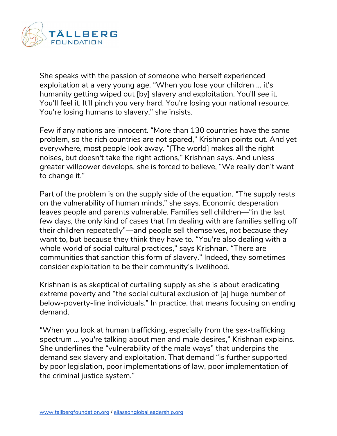

She speaks with the passion of someone who herself experienced exploitation at a very young age. "When you lose your children … it's humanity getting wiped out [by] slavery and exploitation. You'll see it. You'll feel it. It'll pinch you very hard. You're losing your national resource. You're losing humans to slavery," she insists.

Few if any nations are innocent. "More than 130 countries have the same problem, so the rich countries are not spared," Krishnan points out. And yet everywhere, most people look away. "[The world] makes all the right noises, but doesn't take the right actions," Krishnan says. And unless greater willpower develops, she is forced to believe, "We really don't want to change it."

Part of the problem is on the supply side of the equation. "The supply rests on the vulnerability of human minds," she says. Economic desperation leaves people and parents vulnerable. Families sell children—"in the last few days, the only kind of cases that I'm dealing with are families selling off their children repeatedly"—and people sell themselves, not because they want to, but because they think they have to. "You're also dealing with a whole world of social cultural practices," says Krishnan. "There are communities that sanction this form of slavery." Indeed, they sometimes consider exploitation to be their community's livelihood.

Krishnan is as skeptical of curtailing supply as she is about eradicating extreme poverty and "the social cultural exclusion of [a] huge number of below-poverty-line individuals." In practice, that means focusing on ending demand.

"When you look at human trafficking, especially from the sex-trafficking spectrum … you're talking about men and male desires," Krishnan explains. She underlines the "vulnerability of the male ways" that underpins the demand sex slavery and exploitation. That demand "is further supported by poor legislation, poor implementations of law, poor implementation of the criminal justice system."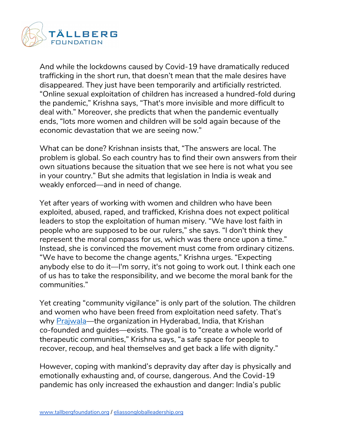

And while the lockdowns caused by Covid-19 have dramatically reduced trafficking in the short run, that doesn't mean that the male desires have disappeared. They just have been temporarily and artificially restricted. "Online sexual exploitation of children has increased a hundred-fold during the pandemic," Krishna says, "That's more invisible and more difficult to deal with." Moreover, she predicts that when the pandemic eventually ends, "lots more women and children will be sold again because of the economic devastation that we are seeing now."

What can be done? Krishnan insists that, "The answers are local. The problem is global. So each country has to find their own answers from their own situations because the situation that we see here is not what you see in your country." But she admits that legislation in India is weak and weakly enforced—and in need of change.

Yet after years of working with women and children who have been exploited, abused, raped, and trafficked, Krishna does not expect political leaders to stop the exploitation of human misery. "We have lost faith in people who are supposed to be our rulers," she says. "I don't think they represent the moral compass for us, which was there once upon a time." Instead, she is convinced the movement must come from ordinary citizens. "We have to become the change agents," Krishna urges. "Expecting anybody else to do it—I'm sorry, it's not going to work out. I think each one of us has to take the responsibility, and we become the moral bank for the communities."

Yet creating "community vigilance" is only part of the solution. The children and women who have been freed from exploitation need safety. That's why [Prajwala](https://www.prajwalaindia.com/)—the organization in Hyderabad, India, that Krishan co-founded and guides—exists. The goal is to "create a whole world of therapeutic communities," Krishna says, "a safe space for people to recover, recoup, and heal themselves and get back a life with dignity."

However, coping with mankind's depravity day after day is physically and emotionally exhausting and, of course, dangerous. And the Covid-19 pandemic has only increased the exhaustion and danger: India's public